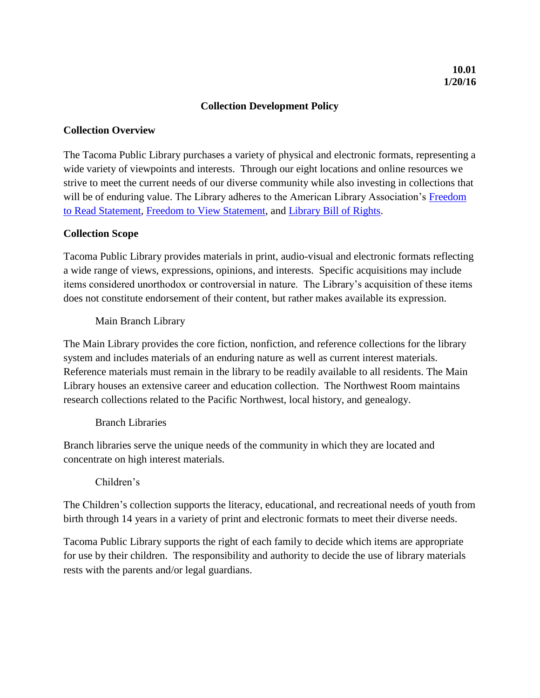# **Collection Development Policy**

# **Collection Overview**

The Tacoma Public Library purchases a variety of physical and electronic formats, representing a wide variety of viewpoints and interests. Through our eight locations and online resources we strive to meet the current needs of our diverse community while also investing in collections that will be of enduring value. The Library adheres to the American Library Association's [Freedom](http://www.ala.org/advocacy/intfreedom/statementspols/freedomreadstatement)  [to Read Statement,](http://www.ala.org/advocacy/intfreedom/statementspols/freedomreadstatement) [Freedom to View Statement,](http://www.ala.org/vrt/professionalresources/vrtresources/freedomtoview) and [Library Bill of Rights.](http://www.ala.org/advocacy/intfreedom/librarybill)

## **Collection Scope**

Tacoma Public Library provides materials in print, audio-visual and electronic formats reflecting a wide range of views, expressions, opinions, and interests. Specific acquisitions may include items considered unorthodox or controversial in nature. The Library's acquisition of these items does not constitute endorsement of their content, but rather makes available its expression.

Main Branch Library

The Main Library provides the core fiction, nonfiction, and reference collections for the library system and includes materials of an enduring nature as well as current interest materials. Reference materials must remain in the library to be readily available to all residents. The Main Library houses an extensive career and education collection. The Northwest Room maintains research collections related to the Pacific Northwest, local history, and genealogy.

## Branch Libraries

Branch libraries serve the unique needs of the community in which they are located and concentrate on high interest materials.

# Children's

The Children's collection supports the literacy, educational, and recreational needs of youth from birth through 14 years in a variety of print and electronic formats to meet their diverse needs.

Tacoma Public Library supports the right of each family to decide which items are appropriate for use by their children. The responsibility and authority to decide the use of library materials rests with the parents and/or legal guardians.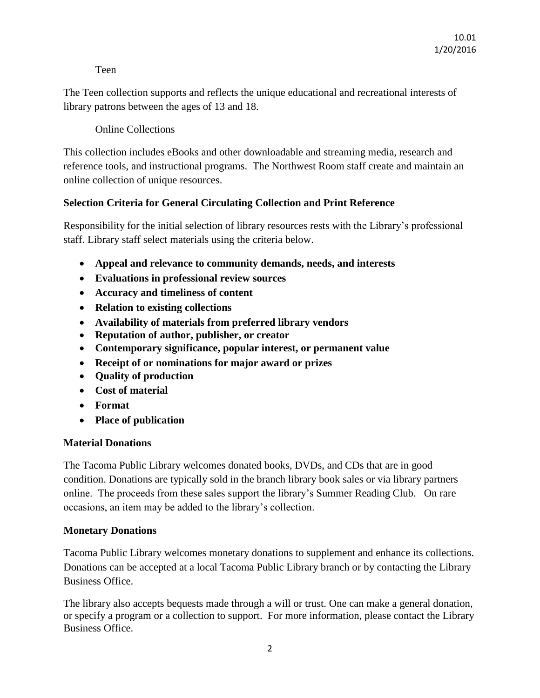## Teen

The Teen collection supports and reflects the unique educational and recreational interests of library patrons between the ages of 13 and 18.

Online Collections

This collection includes eBooks and other downloadable and streaming media, research and reference tools, and instructional programs. The Northwest Room staff create and maintain an online collection of unique resources.

# **Selection Criteria for General Circulating Collection and Print Reference**

Responsibility for the initial selection of library resources rests with the Library's professional staff. Library staff select materials using the criteria below.

- **Appeal and relevance to community demands, needs, and interests**
- **Evaluations in professional review sources**
- **Accuracy and timeliness of content**
- **Relation to existing collections**
- **Availability of materials from preferred library vendors**
- **Reputation of author, publisher, or creator**
- **Contemporary significance, popular interest, or permanent value**
- **Receipt of or nominations for major award or prizes**
- **Quality of production**
- **Cost of material**
- **Format**
- **Place of publication**

# **Material Donations**

The Tacoma Public Library welcomes donated books, DVDs, and CDs that are in good condition. Donations are typically sold in the branch library book sales or via library partners online. The proceeds from these sales support the library's Summer Reading Club. On rare occasions, an item may be added to the library's collection.

# **Monetary Donations**

Tacoma Public Library welcomes monetary donations to supplement and enhance its collections. Donations can be accepted at a local Tacoma Public Library branch or by contacting the Library Business Office.

The library also accepts bequests made through a will or trust. One can make a general donation, or specify a program or a collection to support. For more information, please contact the Library Business Office.